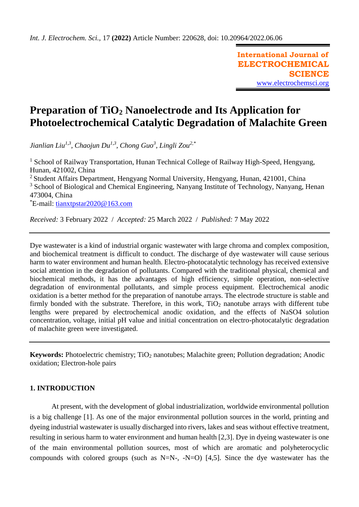**International Journal of ELECTROCHEMICAL SCIENCE** [www.electrochemsci.org](http://www.electrochemsci.org/)

# **Preparation of TiO<sup>2</sup> Nanoelectrode and Its Application for Photoelectrochemical Catalytic Degradation of Malachite Green**

*Jianlian Liu1,3, Chaojun Du1,3, Chong Guo<sup>3</sup> , Lingli Zou2,\**

<sup>1</sup> School of Railway Transportation, Hunan Technical College of Railway High-Speed, Hengyang, Hunan, 421002, China  $2$  Student Affairs Department, Hengyang Normal University, Hengyang, Hunan, 421001, China <sup>3</sup> School of Biological and Chemical Engineering, Nanyang Institute of Technology, Nanyang, Henan

473004, China

\*E-mail: [tianxtpstar2020@163.com](mailto:tianxtpstar2020@163.com)

*Received:* 3 February 2022/ *Accepted:* 25 March 2022 / *Published:* 7 May 2022

Dye wastewater is a kind of industrial organic wastewater with large chroma and complex composition, and biochemical treatment is difficult to conduct. The discharge of dye wastewater will cause serious harm to water environment and human health. Electro-photocatalytic technology has received extensive social attention in the degradation of pollutants. Compared with the traditional physical, chemical and biochemical methods, it has the advantages of high efficiency, simple operation, non-selective degradation of environmental pollutants, and simple process equipment. Electrochemical anodic oxidation is a better method for the preparation of nanotube arrays. The electrode structure is stable and firmly bonded with the substrate. Therefore, in this work,  $TiO<sub>2</sub>$  nanotube arrays with different tube lengths were prepared by electrochemical anodic oxidation, and the effects of NaSO4 solution concentration, voltage, initial pH value and initial concentration on electro-photocatalytic degradation of malachite green were investigated.

**Keywords:** Photoelectric chemistry; TiO<sub>2</sub> nanotubes; Malachite green; Pollution degradation; Anodic oxidation; Electron-hole pairs

# **1. INTRODUCTION**

At present, with the development of global industrialization, worldwide environmental pollution is a big challenge [1]. As one of the major environmental pollution sources in the world, printing and dyeing industrial wastewater is usually discharged into rivers, lakes and seas without effective treatment, resulting in serious harm to water environment and human health [2,3]. Dye in dyeing wastewater is one of the main environmental pollution sources, most of which are aromatic and polyheterocyclic compounds with colored groups (such as  $N=N-$ , -N=O) [4,5]. Since the dye wastewater has the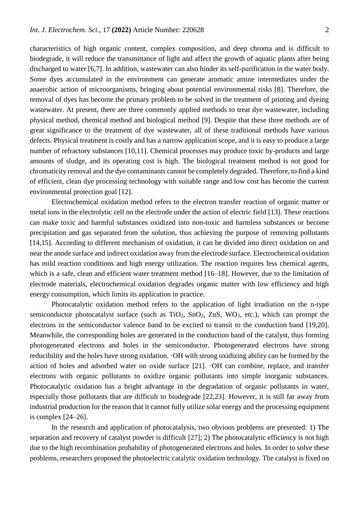characteristics of high organic content, complex composition, and deep chroma and is difficult to biodegrade, it will reduce the transmittance of light and affect the growth of aquatic plants after being discharged to water [6,7]. In addition, wastewater can also hinder its self-purification in the water body. Some dyes accumulated in the environment can generate aromatic amine intermediates under the anaerobic action of microorganisms, bringing about potential environmental risks [8]. Therefore, the removal of dyes has become the primary problem to be solved in the treatment of printing and dyeing wastewater. At present, there are three commonly applied methods to treat dye wastewater, including physical method, chemical method and biological method [9]. Despite that these three methods are of great significance to the treatment of dye wastewater, all of these traditional methods have various defects. Physical treatment is costly and has a narrow application scope, and it is easy to produce a large number of refractory substances [10,11]. Chemical processes may produce toxic by-products and large amounts of sludge, and its operating cost is high. The biological treatment method is not good for chromaticity removal and the dye contaminants cannot be completely degraded. Therefore, to find a kind of efficient, clean dye processing technology with suitable range and low cost has become the current environmental protection goal [12].

Electrochemical oxidation method refers to the electron transfer reaction of organic matter or metal ions in the electrolytic cell on the electrode under the action of electric field [13]. These reactions can make toxic and harmful substances oxidized into non-toxic and harmless substances or become precipitation and gas separated from the solution, thus achieving the purpose of removing pollutants [14,15]. According to different mechanism of oxidation, it can be divided into direct oxidation on and near the anode surface and indirect oxidation away from the electrode surface. Electrochemical oxidation has mild reaction conditions and high energy utilization. The reaction requires less chemical agents, which is a safe, clean and efficient water treatment method [16–18]. However, due to the limitation of electrode materials, electrochemical oxidation degrades organic matter with low efficiency and high energy consumption, which limits its application in practice.

Photocatalytic oxidation method refers to the application of light irradiation on the n-type semiconductor photocatalyst surface (such as  $TiO<sub>2</sub>$ ,  $SnO<sub>2</sub>$ ,  $ZnS$ , WO<sub>3</sub>, etc.), which can prompt the electrons in the semiconductor valence band to be excited to transit to the conduction band [19,20]. Meanwhile, the corresponding holes are generated in the conduction band of the catalyst, thus forming photogenerated electrons and holes in the semiconductor. Photogenerated electrons have strong reducibility and the holes have strong oxidation. ·OH with strong oxidizing ability can be formed by the action of holes and adsorbed water on oxide surface [21]. ·OH can combine, replace, and transfer electrons with organic pollutants to oxidize organic pollutants into simple inorganic substances. Photocatalytic oxidation has a bright advantage in the degradation of organic pollutants in water, especially those pollutants that are difficult to biodegrade [22,23]. However, it is still far away from industrial production for the reason that it cannot fully utilize solar energy and the processing equipment is complex [24–26].

In the research and application of photocatalysis, two obvious problems are presented: 1) The separation and recovery of catalyst powder is difficult [27]; 2) The photocatalytic efficiency is not high due to the high recombination probability of photogenerated electrons and holes. In order to solve these problems, researchers proposed the photoelectric catalytic oxidation technology. The catalyst is fixed on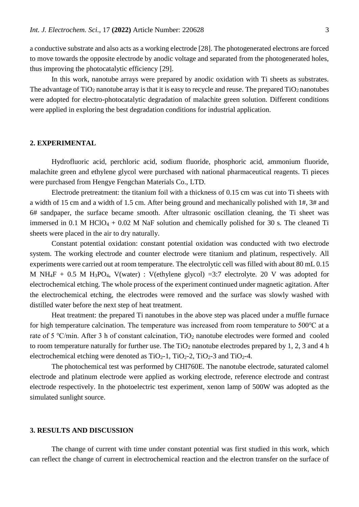a conductive substrate and also acts as a working electrode [28]. The photogenerated electrons are forced to move towards the opposite electrode by anodic voltage and separated from the photogenerated holes, thus improving the photocatalytic efficiency [29].

In this work, nanotube arrays were prepared by anodic oxidation with Ti sheets as substrates. The advantage of  $TiO<sub>2</sub>$  nanotube array is that it is easy to recycle and reuse. The prepared  $TiO<sub>2</sub>$  nanotubes were adopted for electro-photocatalytic degradation of malachite green solution. Different conditions were applied in exploring the best degradation conditions for industrial application.

#### **2. EXPERIMENTAL**

Hydrofluoric acid, perchloric acid, sodium fluoride, phosphoric acid, ammonium fluoride, malachite green and ethylene glycol were purchased with national pharmaceutical reagents. Ti pieces were purchased from Hengye Fengchan Materials Co., LTD.

Electrode pretreatment: the titanium foil with a thickness of 0.15 cm was cut into Ti sheets with a width of 15 cm and a width of 1.5 cm. After being ground and mechanically polished with 1#, 3# and 6# sandpaper, the surface became smooth. After ultrasonic oscillation cleaning, the Ti sheet was immersed in 0.1 M HClO<sub>4</sub> + 0.02 M NaF solution and chemically polished for 30 s. The cleaned Ti sheets were placed in the air to dry naturally.

Constant potential oxidation: constant potential oxidation was conducted with two electrode system. The working electrode and counter electrode were titanium and platinum, respectively. All experiments were carried out at room temperature. The electrolytic cell was filled with about 80 mL 0.15 M NH<sub>4</sub>F + 0.5 M H<sub>3</sub>PO<sub>4</sub>, V(water) : V(ethylene glycol) =3:7 electrolyte. 20 V was adopted for electrochemical etching. The whole process of the experiment continued under magnetic agitation. After the electrochemical etching, the electrodes were removed and the surface was slowly washed with distilled water before the next step of heat treatment.

Heat treatment: the prepared Ti nanotubes in the above step was placed under a muffle furnace for high temperature calcination. The temperature was increased from room temperature to 500℃ at a rate of 5 °C/min. After 3 h of constant calcination,  $TiO<sub>2</sub>$  nanotube electrodes were formed and cooled to room temperature naturally for further use. The  $TiO<sub>2</sub>$  nanotube electrodes prepared by 1, 2, 3 and 4 h electrochemical etching were denoted as  $TiO<sub>2</sub>-1$ ,  $TiO<sub>2</sub>-2$ ,  $TiO<sub>2</sub>-3$  and  $TiO<sub>2</sub>-4$ .

The photochemical test was performed by CHI760E. The nanotube electrode, saturated calomel electrode and platinum electrode were applied as working electrode, reference electrode and contrast electrode respectively. In the photoelectric test experiment, xenon lamp of 500W was adopted as the simulated sunlight source.

#### **3. RESULTS AND DISCUSSION**

The change of current with time under constant potential was first studied in this work, which can reflect the change of current in electrochemical reaction and the electron transfer on the surface of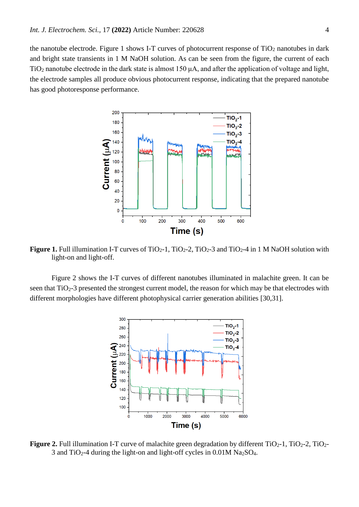the nanotube electrode. Figure 1 shows I-T curves of photocurrent response of  $TiO<sub>2</sub>$  nanotubes in dark and bright state transients in 1 M NaOH solution. As can be seen from the figure, the current of each TiO<sup>2</sup> nanotube electrode in the dark state is almost 150 μA, and after the application of voltage and light, the electrode samples all produce obvious photocurrent response, indicating that the prepared nanotube has good photoresponse performance.



**Figure 1.** Full illumination I-T curves of TiO<sub>2</sub>-1, TiO<sub>2</sub>-2, TiO<sub>2</sub>-3 and TiO<sub>2</sub>-4 in 1 M NaOH solution with light-on and light-off.

Figure 2 shows the I-T curves of different nanotubes illuminated in malachite green. It can be seen that TiO<sub>2</sub>-3 presented the strongest current model, the reason for which may be that electrodes with different morphologies have different photophysical carrier generation abilities [30,31].



**Figure 2.** Full illumination I-T curve of malachite green degradation by different  $TiO<sub>2</sub>$ -1,  $TiO<sub>2</sub>$ -2,  $TiO<sub>2</sub>$ -3 and TiO<sub>2</sub>-4 during the light-on and light-off cycles in  $0.01M$  Na<sub>2</sub>SO<sub>4</sub>.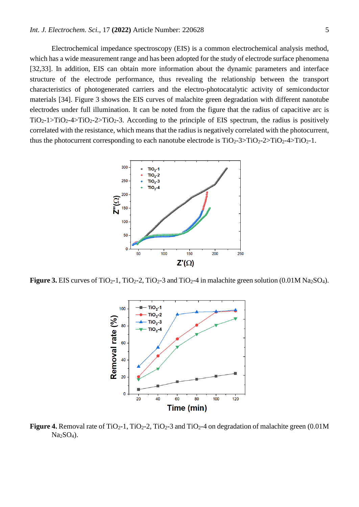#### *Int. J. Electrochem. Sci.,* 17 **(2022)** Article Number: 220628 5

Electrochemical impedance spectroscopy (EIS) is a common electrochemical analysis method, which has a wide measurement range and has been adopted for the study of electrode surface phenomena [32,33]. In addition, EIS can obtain more information about the dynamic parameters and interface structure of the electrode performance, thus revealing the relationship between the transport characteristics of photogenerated carriers and the electro-photocatalytic activity of semiconductor materials [34]. Figure 3 shows the EIS curves of malachite green degradation with different nanotube electrodes under full illumination. It can be noted from the figure that the radius of capacitive arc is  $TiO<sub>2</sub>-1>TiO<sub>2</sub>-4>TiO<sub>2</sub>-2>TiO<sub>2</sub>-3$ . According to the principle of EIS spectrum, the radius is positively correlated with the resistance, which means that the radius is negatively correlated with the photocurrent, thus the photocurrent corresponding to each nanotube electrode is  $TiO_2-3>TiO_2-2>TiO_2-4>TiO_2-1$ .



**Figure 3.** EIS curves of TiO<sub>2</sub>-1, TiO<sub>2</sub>-2, TiO<sub>2</sub>-3 and TiO<sub>2</sub>-4 in malachite green solution (0.01M Na<sub>2</sub>SO<sub>4</sub>).



**Figure 4.** Removal rate of TiO<sub>2</sub>-1, TiO<sub>2</sub>-2, TiO<sub>2</sub>-3 and TiO<sub>2</sub>-4 on degradation of malachite green (0.01M)  $Na<sub>2</sub>SO<sub>4</sub>$ ).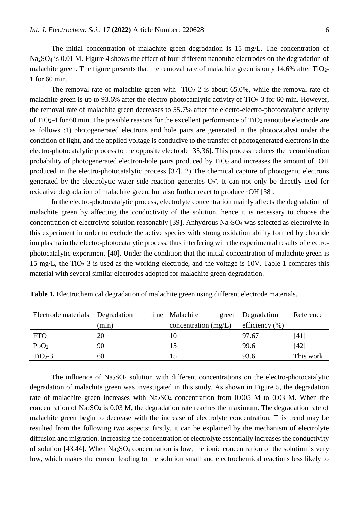The initial concentration of malachite green degradation is 15 mg/L. The concentration of Na2SO<sup>4</sup> is 0.01 M. Figure 4 shows the effect of four different nanotube electrodes on the degradation of malachite green. The figure presents that the removal rate of malachite green is only 14.6% after  $TiO<sub>2</sub>$ -1 for 60 min.

The removal rate of malachite green with  $TiO<sub>2</sub>$ -2 is about 65.0%, while the removal rate of malachite green is up to 93.6% after the electro-photocatalytic activity of  $TiO<sub>2</sub>$ -3 for 60 min. However, the removal rate of malachite green decreases to 55.7% after the electro-electro-photocatalytic activity of TiO<sub>2</sub>-4 for 60 min. The possible reasons for the excellent performance of TiO<sub>2</sub> nanotube electrode are as follows :1) photogenerated electrons and hole pairs are generated in the photocatalyst under the condition of light, and the applied voltage is conducive to the transfer of photogenerated electrons in the electro-photocatalytic process to the opposite electrode [35,36]. This process reduces the recombination probability of photogenerated electron-hole pairs produced by  $TiO<sub>2</sub>$  and increases the amount of  $\cdot OH$ produced in the electro-photocatalytic process [37]. 2) The chemical capture of photogenic electrons generated by the electrolytic water side reaction generates  $O_2$ . It can not only be directly used for oxidative degradation of malachite green, but also further react to produce ·OH [38].

In the electro-photocatalytic process, electrolyte concentration mainly affects the degradation of malachite green by affecting the conductivity of the solution, hence it is necessary to choose the concentration of electrolyte solution reasonably [39]. Anhydrous Na2SO<sup>4</sup> was selected as electrolyte in this experiment in order to exclude the active species with strong oxidation ability formed by chloride ion plasma in the electro-photocatalytic process, thus interfering with the experimental results of electrophotocatalytic experiment [40]. Under the condition that the initial concentration of malachite green is 15 mg/L, the  $TiO<sub>2</sub>$ -3 is used as the working electrode, and the voltage is 10V. Table 1 compares this material with several similar electrodes adopted for malachite green degradation.

| Electrode materials Degradation |       | time Malachite         |  | green Degradation  | Reference |
|---------------------------------|-------|------------------------|--|--------------------|-----------|
|                                 | (min) | concentration $(mg/L)$ |  | efficiency $(\% )$ |           |
| <b>FTO</b>                      | 20    | 10                     |  | 97.67              | [41]      |
| PbO <sub>2</sub>                | 90    | 15                     |  | 99.6               | [42]      |
| $TiO2-3$                        | 60    |                        |  | 93.6               | This work |

**Table 1.** Electrochemical degradation of malachite green using different electrode materials.

The influence of Na2SO<sup>4</sup> solution with different concentrations on the electro-photocatalytic degradation of malachite green was investigated in this study. As shown in Figure 5, the degradation rate of malachite green increases with Na<sub>2</sub>SO<sub>4</sub> concentration from 0.005 M to 0.03 M. When the concentration of Na2SO<sup>4</sup> is 0.03 M, the degradation rate reaches the maximum. The degradation rate of malachite green begin to decrease with the increase of electrolyte concentration. This trend may be resulted from the following two aspects: firstly, it can be explained by the mechanism of electrolyte diffusion and migration. Increasing the concentration of electrolyte essentially increases the conductivity of solution [43,44]. When  $Na<sub>2</sub>SO<sub>4</sub>$  concentration is low, the ionic concentration of the solution is very low, which makes the current leading to the solution small and electrochemical reactions less likely to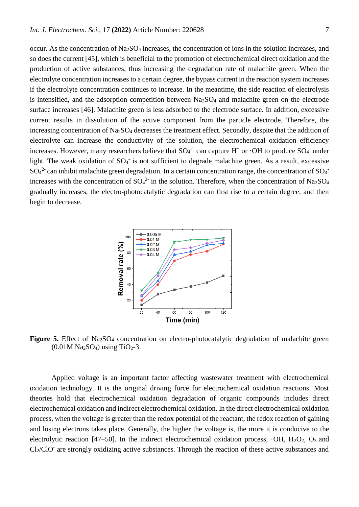occur. As the concentration of Na2SO<sup>4</sup> increases, the concentration of ions in the solution increases, and so does the current [45], which is beneficial to the promotion of electrochemical direct oxidation and the production of active substances, thus increasing the degradation rate of malachite green. When the electrolyte concentration increases to a certain degree, the bypass current in the reaction system increases if the electrolyte concentration continues to increase. In the meantime, the side reaction of electrolysis is intensified, and the adsorption competition between  $Na<sub>2</sub>SO<sub>4</sub>$  and malachite green on the electrode surface increases [46]. Malachite green is less adsorbed to the electrode surface. In addition, excessive current results in dissolution of the active component from the particle electrode. Therefore, the increasing concentration of Na<sub>2</sub>SO<sub>4</sub> decreases the treatment effect. Secondly, despite that the addition of electrolyte can increase the conductivity of the solution, the electrochemical oxidation efficiency increases. However, many researchers believe that  $SO_4^2$  can capture H<sup>+</sup> or  $\cdot$ OH to produce  $SO_4$  under light. The weak oxidation of SO<sub>4</sub> is not sufficient to degrade malachite green. As a result, excessive  $SO_4^2$  can inhibit malachite green degradation. In a certain concentration range, the concentration of  $SO_4$ <sup>-</sup> increases with the concentration of  $SO_4^2$  in the solution. Therefore, when the concentration of Na<sub>2</sub>SO<sub>4</sub> gradually increases, the electro-photocatalytic degradation can first rise to a certain degree, and then begin to decrease.



**Figure 5.** Effect of Na<sub>2</sub>SO<sub>4</sub> concentration on electro-photocatalytic degradation of malachite green  $(0.01M \text{ Na}_2\text{SO}_4)$  using TiO<sub>2</sub>-3.

Applied voltage is an important factor affecting wastewater treatment with electrochemical oxidation technology. It is the original driving force for electrochemical oxidation reactions. Most theories hold that electrochemical oxidation degradation of organic compounds includes direct electrochemical oxidation and indirect electrochemical oxidation. In the direct electrochemical oxidation process, when the voltage is greater than the redox potential of the reactant, the redox reaction of gaining and losing electrons takes place. Generally, the higher the voltage is, the more it is conducive to the electrolytic reaction [47–50]. In the indirect electrochemical oxidation process,  $\cdot$ OH, H<sub>2</sub>O<sub>2</sub>, O<sub>3</sub> and Cl<sub>2</sub>/ClO<sup>-</sup> are strongly oxidizing active substances. Through the reaction of these active substances and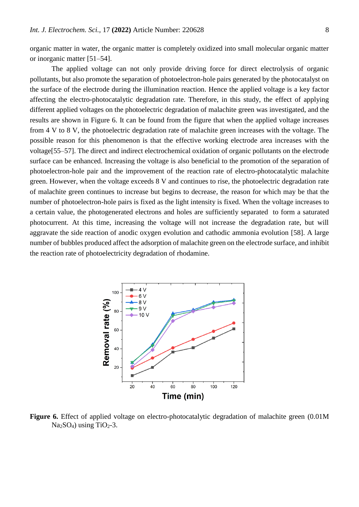organic matter in water, the organic matter is completely oxidized into small molecular organic matter or inorganic matter [51–54].

The applied voltage can not only provide driving force for direct electrolysis of organic pollutants, but also promote the separation of photoelectron-hole pairs generated by the photocatalyst on the surface of the electrode during the illumination reaction. Hence the applied voltage is a key factor affecting the electro-photocatalytic degradation rate. Therefore, in this study, the effect of applying different applied voltages on the photoelectric degradation of malachite green was investigated, and the results are shown in Figure 6. It can be found from the figure that when the applied voltage increases from 4 V to 8 V, the photoelectric degradation rate of malachite green increases with the voltage. The possible reason for this phenomenon is that the effective working electrode area increases with the voltage[55–57]. The direct and indirect electrochemical oxidation of organic pollutants on the electrode surface can be enhanced. Increasing the voltage is also beneficial to the promotion of the separation of photoelectron-hole pair and the improvement of the reaction rate of electro-photocatalytic malachite green. However, when the voltage exceeds 8 V and continues to rise, the photoelectric degradation rate of malachite green continues to increase but begins to decrease, the reason for which may be that the number of photoelectron-hole pairs is fixed as the light intensity is fixed. When the voltage increases to a certain value, the photogenerated electrons and holes are sufficiently separated to form a saturated photocurrent. At this time, increasing the voltage will not increase the degradation rate, but will aggravate the side reaction of anodic oxygen evolution and cathodic ammonia evolution [58]. A large number of bubbles produced affect the adsorption of malachite green on the electrode surface, and inhibit the reaction rate of photoelectricity degradation of rhodamine.



**Figure 6.** Effect of applied voltage on electro-photocatalytic degradation of malachite green  $(0.01M)$  $Na<sub>2</sub>SO<sub>4</sub>$ ) using TiO<sub>2</sub>-3.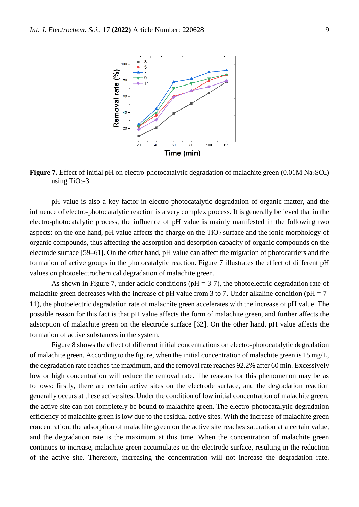

**Figure 7.** Effect of initial pH on electro-photocatalytic degradation of malachite green (0.01M Na<sub>2</sub>SO<sub>4</sub>) using TiO<sub>2</sub>-3.

pH value is also a key factor in electro-photocatalytic degradation of organic matter, and the influence of electro-photocatalytic reaction is a very complex process. It is generally believed that in the electro-photocatalytic process, the influence of pH value is mainly manifested in the following two aspects: on the one hand, pH value affects the charge on the  $TiO<sub>2</sub>$  surface and the ionic morphology of organic compounds, thus affecting the adsorption and desorption capacity of organic compounds on the electrode surface [59–61]. On the other hand, pH value can affect the migration of photocarriers and the formation of active groups in the photocatalytic reaction. Figure 7 illustrates the effect of different pH values on photoelectrochemical degradation of malachite green.

As shown in Figure 7, under acidic conditions ( $pH = 3-7$ ), the photoelectric degradation rate of malachite green decreases with the increase of pH value from 3 to 7. Under alkaline condition ( $pH = 7$ -11), the photoelectric degradation rate of malachite green accelerates with the increase of pH value. The possible reason for this fact is that pH value affects the form of malachite green, and further affects the adsorption of malachite green on the electrode surface [62]. On the other hand, pH value affects the formation of active substances in the system.

Figure 8 shows the effect of different initial concentrations on electro-photocatalytic degradation of malachite green. According to the figure, when the initial concentration of malachite green is 15 mg/L, the degradation rate reaches the maximum, and the removal rate reaches 92.2% after 60 min. Excessively low or high concentration will reduce the removal rate. The reasons for this phenomenon may be as follows: firstly, there are certain active sites on the electrode surface, and the degradation reaction generally occurs at these active sites. Under the condition of low initial concentration of malachite green, the active site can not completely be bound to malachite green. The electro-photocatalytic degradation efficiency of malachite green is low due to the residual active sites. With the increase of malachite green concentration, the adsorption of malachite green on the active site reaches saturation at a certain value, and the degradation rate is the maximum at this time. When the concentration of malachite green continues to increase, malachite green accumulates on the electrode surface, resulting in the reduction of the active site. Therefore, increasing the concentration will not increase the degradation rate.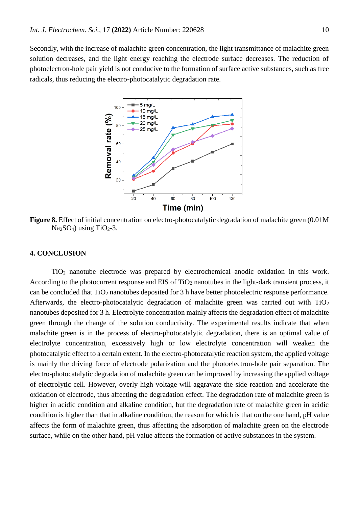Secondly, with the increase of malachite green concentration, the light transmittance of malachite green solution decreases, and the light energy reaching the electrode surface decreases. The reduction of photoelectron-hole pair yield is not conducive to the formation of surface active substances, such as free radicals, thus reducing the electro-photocatalytic degradation rate.



**Figure 8.** Effect of initial concentration on electro-photocatalytic degradation of malachite green (0.01M  $Na<sub>2</sub>SO<sub>4</sub>$ ) using TiO<sub>2</sub>-3.

### **4. CONCLUSION**

TiO<sup>2</sup> nanotube electrode was prepared by electrochemical anodic oxidation in this work. According to the photocurrent response and EIS of TiO<sub>2</sub> nanotubes in the light-dark transient process, it can be concluded that  $TiO<sub>2</sub>$  nanotubes deposited for 3 h have better photoelectric response performance. Afterwards, the electro-photocatalytic degradation of malachite green was carried out with  $TiO<sub>2</sub>$ nanotubes deposited for 3 h. Electrolyte concentration mainly affects the degradation effect of malachite green through the change of the solution conductivity. The experimental results indicate that when malachite green is in the process of electro-photocatalytic degradation, there is an optimal value of electrolyte concentration, excessively high or low electrolyte concentration will weaken the photocatalytic effect to a certain extent. In the electro-photocatalytic reaction system, the applied voltage is mainly the driving force of electrode polarization and the photoelectron-hole pair separation. The electro-photocatalytic degradation of malachite green can be improved by increasing the applied voltage of electrolytic cell. However, overly high voltage will aggravate the side reaction and accelerate the oxidation of electrode, thus affecting the degradation effect. The degradation rate of malachite green is higher in acidic condition and alkaline condition, but the degradation rate of malachite green in acidic condition is higher than that in alkaline condition, the reason for which is that on the one hand, pH value affects the form of malachite green, thus affecting the adsorption of malachite green on the electrode surface, while on the other hand, pH value affects the formation of active substances in the system.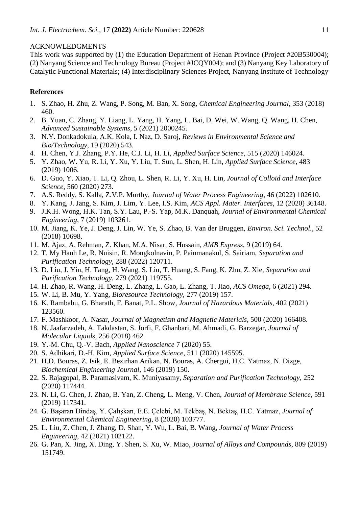#### ACKNOWLEDGMENTS

This work was supported by (1) the Education Department of Henan Province (Project #20B530004); (2) Nanyang Science and Technology Bureau (Project #JCQY004); and (3) Nanyang Key Laboratory of Catalytic Functional Materials; (4) Interdisciplinary Sciences Project, Nanyang Institute of Technology

## **References**

- 1. S. Zhao, H. Zhu, Z. Wang, P. Song, M. Ban, X. Song, *Chemical Engineering Journal*, 353 (2018) 460.
- 2. B. Yuan, C. Zhang, Y. Liang, L. Yang, H. Yang, L. Bai, D. Wei, W. Wang, Q. Wang, H. Chen, *Advanced Sustainable Systems*, 5 (2021) 2000245.
- 3. N.Y. Donkadokula, A.K. Kola, I. Naz, D. Saroj, *Reviews in Environmental Science and Bio/Technology*, 19 (2020) 543.
- 4. H. Chen, Y.J. Zhang, P.Y. He, C.J. Li, H. Li, *Applied Surface Science*, 515 (2020) 146024.
- 5. Y. Zhao, W. Yu, R. Li, Y. Xu, Y. Liu, T. Sun, L. Shen, H. Lin, *Applied Surface Science*, 483 (2019) 1006.
- 6. D. Guo, Y. Xiao, T. Li, Q. Zhou, L. Shen, R. Li, Y. Xu, H. Lin, *Journal of Colloid and Interface Science*, 560 (2020) 273.
- 7. A.S. Reddy, S. Kalla, Z.V.P. Murthy, *Journal of Water Process Engineering*, 46 (2022) 102610.
- 8. Y. Kang, J. Jang, S. Kim, J. Lim, Y. Lee, I.S. Kim, *ACS Appl. Mater. Interfaces*, 12 (2020) 36148.
- 9. J.K.H. Wong, H.K. Tan, S.Y. Lau, P.-S. Yap, M.K. Danquah, *Journal of Environmental Chemical Engineering*, 7 (2019) 103261.
- 10. M. Jiang, K. Ye, J. Deng, J. Lin, W. Ye, S. Zhao, B. Van der Bruggen, *Environ. Sci. Technol.*, 52 (2018) 10698.
- 11. M. Ajaz, A. Rehman, Z. Khan, M.A. Nisar, S. Hussain, *AMB Express*, 9 (2019) 64.
- 12. T. My Hanh Le, R. Nuisin, R. Mongkolnavin, P. Painmanakul, S. Sairiam, *Separation and Purification Technology*, 288 (2022) 120711.
- 13. D. Liu, J. Yin, H. Tang, H. Wang, S. Liu, T. Huang, S. Fang, K. Zhu, Z. Xie, *Separation and Purification Technology*, 279 (2021) 119755.
- 14. H. Zhao, R. Wang, H. Deng, L. Zhang, L. Gao, L. Zhang, T. Jiao, *ACS Omega*, 6 (2021) 294.
- 15. W. Li, B. Mu, Y. Yang, *Bioresource Technology*, 277 (2019) 157.
- 16. K. Rambabu, G. Bharath, F. Banat, P.L. Show, *Journal of Hazardous Materials*, 402 (2021) 123560.
- 17. F. Mashkoor, A. Nasar, *Journal of Magnetism and Magnetic Materials*, 500 (2020) 166408.
- 18. N. Jaafarzadeh, A. Takdastan, S. Jorfi, F. Ghanbari, M. Ahmadi, G. Barzegar, *Journal of Molecular Liquids*, 256 (2018) 462.
- 19. Y.-M. Chu, Q.-V. Bach, *Applied Nanoscience* 7 (2020) 55.
- 20. S. Adhikari, D.-H. Kim, *Applied Surface Science*, 511 (2020) 145595.
- 21. H.D. Bouras, Z. Isik, E. Bezirhan Arikan, N. Bouras, A. Chergui, H.C. Yatmaz, N. Dizge, *Biochemical Engineering Journal*, 146 (2019) 150.
- 22. S. Rajagopal, B. Paramasivam, K. Muniyasamy, *Separation and Purification Technology*, 252 (2020) 117444.
- 23. N. Li, G. Chen, J. Zhao, B. Yan, Z. Cheng, L. Meng, V. Chen, *Journal of Membrane Science*, 591 (2019) 117341.
- 24. G. Başaran Dindaş, Y. Çalışkan, E.E. Çelebi, M. Tekbaş, N. Bektaş, H.C. Yatmaz, *Journal of Environmental Chemical Engineering*, 8 (2020) 103777.
- 25. L. Liu, Z. Chen, J. Zhang, D. Shan, Y. Wu, L. Bai, B. Wang, *Journal of Water Process Engineering*, 42 (2021) 102122.
- 26. G. Pan, X. Jing, X. Ding, Y. Shen, S. Xu, W. Miao, *Journal of Alloys and Compounds*, 809 (2019) 151749.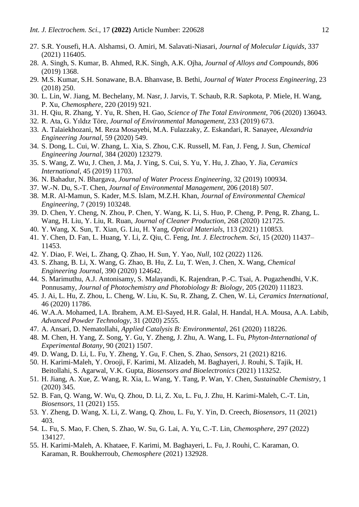- 27. S.R. Yousefi, H.A. Alshamsi, O. Amiri, M. Salavati-Niasari, *Journal of Molecular Liquids*, 337 (2021) 116405.
- 28. A. Singh, S. Kumar, B. Ahmed, R.K. Singh, A.K. Ojha, *Journal of Alloys and Compounds*, 806 (2019) 1368.
- 29. M.S. Kumar, S.H. Sonawane, B.A. Bhanvase, B. Bethi, *Journal of Water Process Engineering*, 23 (2018) 250.
- 30. L. Lin, W. Jiang, M. Bechelany, M. Nasr, J. Jarvis, T. Schaub, R.R. Sapkota, P. Miele, H. Wang, P. Xu, *Chemosphere*, 220 (2019) 921.
- 31. H. Qiu, R. Zhang, Y. Yu, R. Shen, H. Gao, *Science of The Total Environment*, 706 (2020) 136043.
- 32. R. Ata, G. Yıldız Töre, *Journal of Environmental Management*, 233 (2019) 673.
- 33. A. Talaiekhozani, M. Reza Mosayebi, M.A. Fulazzaky, Z. Eskandari, R. Sanayee, *Alexandria Engineering Journal*, 59 (2020) 549.
- 34. S. Dong, L. Cui, W. Zhang, L. Xia, S. Zhou, C.K. Russell, M. Fan, J. Feng, J. Sun, *Chemical Engineering Journal*, 384 (2020) 123279.
- 35. S. Wang, Z. Wu, J. Chen, J. Ma, J. Ying, S. Cui, S. Yu, Y. Hu, J. Zhao, Y. Jia, *Ceramics International*, 45 (2019) 11703.
- 36. N. Bahadur, N. Bhargava, *Journal of Water Process Engineering*, 32 (2019) 100934.
- 37. W.-N. Du, S.-T. Chen, *Journal of Environmental Management*, 206 (2018) 507.
- 38. M.R. Al-Mamun, S. Kader, M.S. Islam, M.Z.H. Khan, *Journal of Environmental Chemical Engineering*, 7 (2019) 103248.
- 39. D. Chen, Y. Cheng, N. Zhou, P. Chen, Y. Wang, K. Li, S. Huo, P. Cheng, P. Peng, R. Zhang, L. Wang, H. Liu, Y. Liu, R. Ruan, *Journal of Cleaner Production*, 268 (2020) 121725.
- 40. Y. Wang, X. Sun, T. Xian, G. Liu, H. Yang, *Optical Materials*, 113 (2021) 110853.
- 41. Y. Chen, D. Fan, L. Huang, Y. Li, Z. Qiu, C. Feng, *Int. J. Electrochem. Sci*, 15 (2020) 11437– 11453.
- 42. Y. Diao, F. Wei, L. Zhang, Q. Zhao, H. Sun, Y. Yao, *Null*, 102 (2022) 1126.
- 43. S. Zhang, B. Li, X. Wang, G. Zhao, B. Hu, Z. Lu, T. Wen, J. Chen, X. Wang, *Chemical Engineering Journal*, 390 (2020) 124642.
- 44. S. Marimuthu, A.J. Antonisamy, S. Malayandi, K. Rajendran, P.-C. Tsai, A. Pugazhendhi, V.K. Ponnusamy, *Journal of Photochemistry and Photobiology B: Biology*, 205 (2020) 111823.
- 45. J. Ai, L. Hu, Z. Zhou, L. Cheng, W. Liu, K. Su, R. Zhang, Z. Chen, W. Li, *Ceramics International*, 46 (2020) 11786.
- 46. W.A.A. Mohamed, I.A. Ibrahem, A.M. El-Sayed, H.R. Galal, H. Handal, H.A. Mousa, A.A. Labib, *Advanced Powder Technology*, 31 (2020) 2555.
- 47. A. Ansari, D. Nematollahi, *Applied Catalysis B: Environmental*, 261 (2020) 118226.
- 48. M. Chen, H. Yang, Z. Song, Y. Gu, Y. Zheng, J. Zhu, A. Wang, L. Fu, *Phyton-International of Experimental Botany*, 90 (2021) 1507.
- 49. D. Wang, D. Li, L. Fu, Y. Zheng, Y. Gu, F. Chen, S. Zhao, *Sensors*, 21 (2021) 8216.
- 50. H. Karimi-Maleh, Y. Orooji, F. Karimi, M. Alizadeh, M. Baghayeri, J. Rouhi, S. Tajik, H. Beitollahi, S. Agarwal, V.K. Gupta, *Biosensors and Bioelectronics* (2021) 113252.
- 51. H. Jiang, A. Xue, Z. Wang, R. Xia, L. Wang, Y. Tang, P. Wan, Y. Chen, *Sustainable Chemistry*, 1 (2020) 345.
- 52. B. Fan, Q. Wang, W. Wu, Q. Zhou, D. Li, Z. Xu, L. Fu, J. Zhu, H. Karimi-Maleh, C.-T. Lin, *Biosensors*, 11 (2021) 155.
- 53. Y. Zheng, D. Wang, X. Li, Z. Wang, Q. Zhou, L. Fu, Y. Yin, D. Creech, *Biosensors*, 11 (2021) 403.
- 54. L. Fu, S. Mao, F. Chen, S. Zhao, W. Su, G. Lai, A. Yu, C.-T. Lin, *Chemosphere*, 297 (2022) 134127.
- 55. H. Karimi-Maleh, A. Khataee, F. Karimi, M. Baghayeri, L. Fu, J. Rouhi, C. Karaman, O. Karaman, R. Boukherroub, *Chemosphere* (2021) 132928.